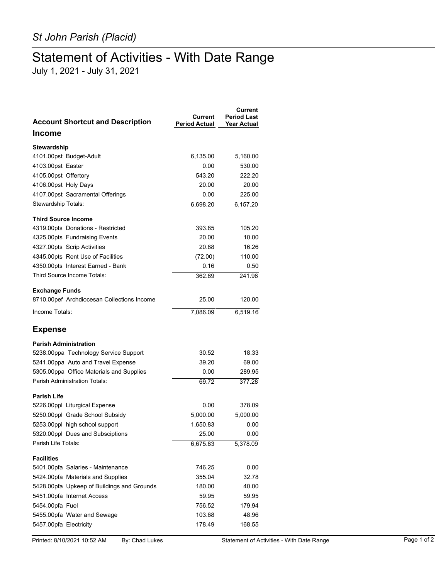## Statement of Activities - With Date Range

July 1, 2021 - July 31, 2021

| <b>Account Shortcut and Description</b>    | Current<br>Period Actual | Current<br><b>Period Last</b><br><b>Year Actual</b> |
|--------------------------------------------|--------------------------|-----------------------------------------------------|
| <b>Income</b>                              |                          |                                                     |
| Stewardship                                |                          |                                                     |
| 4101.00pst Budget-Adult                    | 6,135.00                 | 5,160.00                                            |
| 4103.00pst Easter                          | 0.00                     | 530.00                                              |
| 4105.00pst Offertory                       | 543.20                   | 222.20                                              |
| 4106.00pst Holy Days                       | 20.00                    | 20.00                                               |
| 4107.00pst Sacramental Offerings           | 0.00                     | 225.00                                              |
| Stewardship Totals:                        | 6,698.20                 | 6,157.20                                            |
| <b>Third Source Income</b>                 |                          |                                                     |
| 4319.00pts Donations - Restricted          | 393.85                   | 105.20                                              |
| 4325.00pts Fundraising Events              | 20.00                    | 10.00                                               |
| 4327.00pts Scrip Activities                | 20.88                    | 16.26                                               |
| 4345.00pts Rent Use of Facilities          | (72.00)                  | 110.00                                              |
| 4350.00pts Interest Earned - Bank          | 0.16                     | 0.50                                                |
| Third Source Income Totals:                | 362.89                   | 241.96                                              |
| <b>Exchange Funds</b>                      |                          |                                                     |
| 8710.00pef Archdiocesan Collections Income | 25.00                    | 120.00                                              |
| Income Totals:                             | 7,086.09                 | 6,519.16                                            |
| <b>Expense</b>                             |                          |                                                     |
| <b>Parish Administration</b>               |                          |                                                     |
| 5238.00ppa Technology Service Support      | 30.52                    | 18.33                                               |
| 5241.00ppa Auto and Travel Expense         | 39.20                    | 69.00                                               |
| 5305.00ppa Office Materials and Supplies   | 0.00                     | 289.95                                              |
| <b>Parish Administration Totals:</b>       | 69.72                    | 377.28                                              |
| <b>Parish Life</b>                         |                          |                                                     |
| 5226.00ppl Liturgical Expense              | 0.00                     | 378.09                                              |
| 5250.00ppl Grade School Subsidy            | 5,000.00                 | 5,000.00                                            |
| 5253.00ppl high school support             | 1.650.83                 | 0.00                                                |
| 5320.00ppl Dues and Subsciptions           | 25.00                    | 0.00                                                |
| Parish Life Totals:                        | 6,675.83                 | 5,378.09                                            |
| <b>Facilities</b>                          |                          |                                                     |
| 5401.00pfa Salaries - Maintenance          | 746.25                   | 0.00                                                |
| 5424.00pfa Materials and Supplies          | 355.04                   | 32.78                                               |
| 5428.00pfa Upkeep of Buildings and Grounds | 180.00                   | 40.00                                               |
| 5451.00pfa Internet Access                 | 59.95                    | 59.95                                               |
| 5454.00pfa Fuel                            | 756.52                   | 179.94                                              |
| 5455.00pfa Water and Sewage                | 103.68                   | 48.96                                               |
| 5457.00pfa Electricity                     | 178.49                   | 168.55                                              |